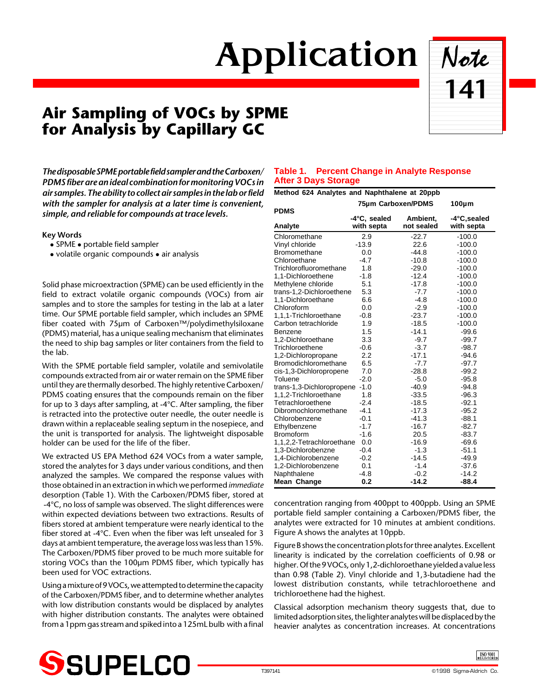# Application Note

## **Air Sampling of VOCs by SPME for Analysis by Capillary GC**



*The disposable SPME portable field sampler and the Carboxen/ PDMS fiber are an ideal combination for monitoring VOCs in air samples. The ability to collect air samples in the lab or field with the sampler for analysis at a later time is convenient, simple, and reliable for compounds at trace levels.*

### **Key Words**

- $\bullet$  SPME  $\bullet$  portable field sampler
- $\bullet$  volatile organic compounds  $\bullet$  air analysis

Solid phase microextraction (SPME) can be used efficiently in the field to extract volatile organic compounds (VOCs) from air samples and to store the samples for testing in the lab at a later time. Our SPME portable field sampler, which includes an SPME fiber coated with 75µm of Carboxen™/polydimethylsiloxane (PDMS) material, has a unique sealing mechanism that eliminates the need to ship bag samples or liter containers from the field to the lab.

With the SPME portable field sampler, volatile and semivolatile compounds extracted from air or water remain on the SPME fiber until they are thermally desorbed. The highly retentive Carboxen/ PDMS coating ensures that the compounds remain on the fiber for up to 3 days after sampling, at -4°C. After sampling, the fiber is retracted into the protective outer needle, the outer needle is drawn within a replaceable sealing septum in the nosepiece, and the unit is transported for analysis. The lightweight disposable holder can be used for the life of the fiber.

We extracted US EPA Method 624 VOCs from a water sample, stored the analytes for 3 days under various conditions, and then analyzed the samples. We compared the response values with those obtained in an extraction in which we performed *immediate* desorption (Table 1). With the Carboxen/PDMS fiber, stored at -4°C, no loss of sample was observed. The slight differences were within expected deviations between two extractions. Results of fibers stored at ambient temperature were nearly identical to the fiber stored at -4°C. Even when the fiber was left unsealed for 3 days at ambient temperature, the average loss was less than 15%. The Carboxen/PDMS fiber proved to be much more suitable for storing VOCs than the 100µm PDMS fiber, which typically has been used for VOC extractions.

Using a mixture of 9 VOCs, we attempted to determine the capacity of the Carboxen/PDMS fiber, and to determine whether analytes with low distribution constants would be displaced by analytes with higher distribution constants. The analytes were obtained from a 1ppm gas stream and spiked into a 125mL bulb with a final

## **Table 1. Percent Change in Analyte Response After 3 Days Storage**

| Method 624 Analytes and Naphthalene at 20ppb |                            |                        |                            |  |
|----------------------------------------------|----------------------------|------------------------|----------------------------|--|
|                                              | 75um Carboxen/PDMS         |                        | $100 \mu m$                |  |
| <b>PDMS</b>                                  |                            |                        |                            |  |
| Analyte                                      | -4°C, sealed<br>with septa | Ambient,<br>not sealed | -4°C, sealed<br>with septa |  |
| Chloromethane                                | 2.9                        | $-22.7$                | $-100.0$                   |  |
| Vinyl chloride                               | $-13.9$                    | 22.6                   | $-100.0$                   |  |
| Bromomethane                                 | 0.0                        | $-44.8$                | $-100.0$                   |  |
| Chloroethane                                 | $-4.7$                     | $-10.8$                | $-100.0$                   |  |
| Trichlorofluoromethane                       | 1.8                        | $-29.0$                | $-100.0$                   |  |
| 1,1-Dichloroethene                           | $-1.8$                     | $-12.4$                | $-100.0$                   |  |
| Methylene chloride                           | 5.1                        | $-17.8$                | $-100.0$                   |  |
| trans-1,2-Dichloroethene                     | 5.3                        | $-7.7$                 | $-100.0$                   |  |
| 1,1-Dichloroethane                           | 6.6                        | $-4.8$                 | $-100.0$                   |  |
| Chloroform                                   | 0.0                        | $-2.9$                 | $-100.0$                   |  |
| 1,1,1-Trichloroethane                        | $-0.8$                     | $-23.7$                | $-100.0$                   |  |
| Carbon tetrachloride                         | 1.9                        | $-18.5$                | $-100.0$                   |  |
| Benzene                                      | 1.5                        | $-14.1$                | $-99.6$                    |  |
| 1,2-Dichloroethane                           | 3.3                        | $-9.7$                 | $-99.7$                    |  |
| Trichloroethene                              | $-0.6$                     | $-3.7$                 | $-98.7$                    |  |
| 1,2-Dichloropropane                          | 2.2                        | $-17.1$                | $-94.6$                    |  |
| Bromodichloromethane                         | 6.5                        | $-7.7$                 | $-97.7$                    |  |
| cis-1,3-Dichloropropene                      | 7.0                        | $-28.8$                | $-99.2$                    |  |
| Toluene                                      | $-2.0$                     | $-5.0$                 | $-95.8$                    |  |
| trans-1,3-Dichloropropene -1.0               |                            | $-40.9$                | $-94.8$                    |  |
| 1,1,2-Trichloroethane                        | 1.8                        | $-33.5$                | $-96.3$                    |  |
| Tetrachloroethene                            | $-2.4$                     | $-18.5$                | $-92.1$                    |  |
| Dibromochloromethane                         | $-4.1$                     | $-17.3$                | $-95.2$                    |  |
| Chlorobenzene                                | $-0.1$                     | $-41.3$                | $-88.1$                    |  |
| Ethylbenzene                                 | $-1.7$                     | $-16.7$                | $-82.7$                    |  |
| <b>Bromoform</b>                             | $-1.6$                     | 20.5                   | $-83.7$                    |  |
| 1,1,2,2-Tetrachloroethane                    | 0.0                        | $-16.9$                | $-69.6$                    |  |
| 1,3-Dichlorobenzne                           | $-0.4$                     | $-1.3$                 | $-51.1$                    |  |
| 1,4-Dichlorobenzene                          | $-0.2$                     | $-14.5$                | $-49.9$                    |  |
| 1,2-Dichlorobenzene                          | 0.1                        | $-1.4$                 | $-37.6$                    |  |
| Naphthalene                                  | $-4.8$                     | $-0.2$                 | $-14.2$                    |  |
| Mean Change                                  | 0.2                        | $-14.2$                | $-88.4$                    |  |

concentration ranging from 400ppt to 400ppb. Using an SPME portable field sampler containing a Carboxen/PDMS fiber, the analytes were extracted for 10 minutes at ambient conditions. Figure A shows the analytes at 10ppb.

Figure B shows the concentration plots for three analytes. Excellent linearity is indicated by the correlation coefficients of 0.98 or higher. Of the 9 VOCs, only 1,2-dichloroethane yielded a value less than 0.98 (Table 2). Vinyl chloride and 1,3-butadiene had the lowest distribution constants, while tetrachloroethene and trichloroethene had the highest.

Classical adsorption mechanism theory suggests that, due to limited adsorption sites, the lighter analytes will be displaced by the heavier analytes as concentration increases. At concentrations